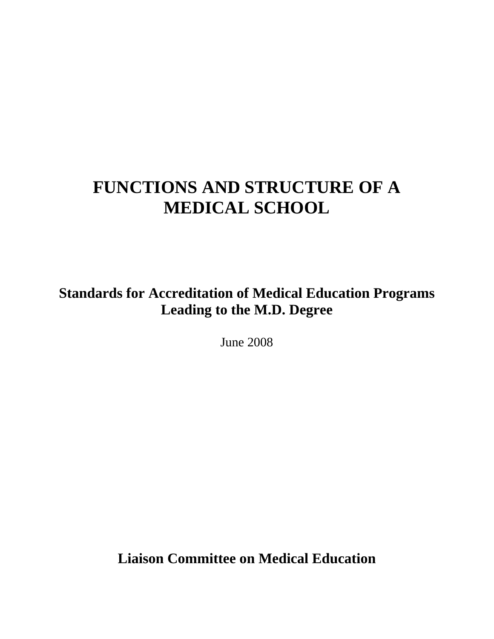# **FUNCTIONS AND STRUCTURE OF A MEDICAL SCHOOL**

**Standards for Accreditation of Medical Education Programs Leading to the M.D. Degree** 

June 2008

**Liaison Committee on Medical Education**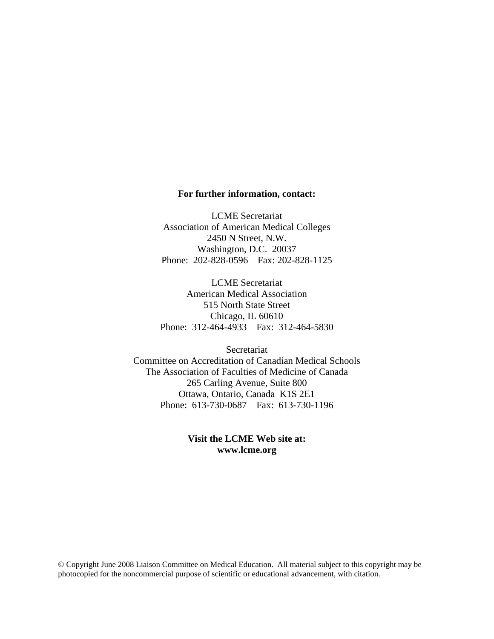#### **For further information, contact:**

LCME Secretariat Association of American Medical Colleges 2450 N Street, N.W. Washington, D.C. 20037 Phone: 202-828-0596 Fax: 202-828-1125

LCME Secretariat American Medical Association 515 North State Street Chicago, IL 60610 Phone: 312-464-4933 Fax: 312-464-5830

**Secretariat** Committee on Accreditation of Canadian Medical Schools The Association of Faculties of Medicine of Canada 265 Carling Avenue, Suite 800 Ottawa, Ontario, Canada K1S 2E1 Phone: 613-730-0687 Fax: 613-730-1196

#### **Visit the LCME Web site at: www.lcme.org**

© Copyright June 2008 Liaison Committee on Medical Education. All material subject to this copyright may be photocopied for the noncommercial purpose of scientific or educational advancement, with citation.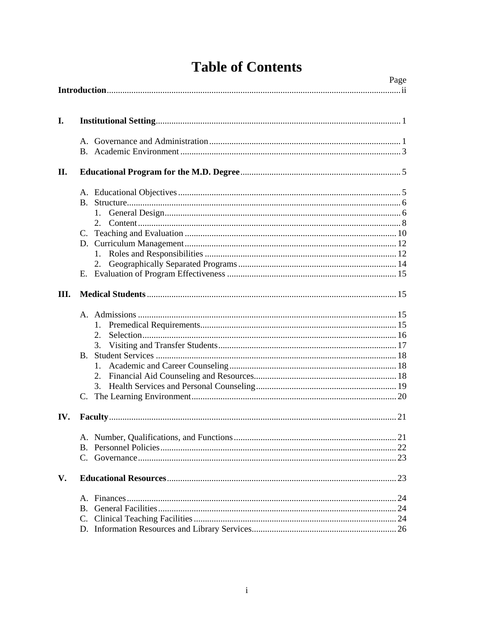|  | <b>Table of Contents</b> |
|--|--------------------------|
|--|--------------------------|

| Page |                              |  |
|------|------------------------------|--|
| I.   |                              |  |
|      |                              |  |
| П.   |                              |  |
|      | $1_{-}$                      |  |
|      | 2.                           |  |
| III. |                              |  |
|      | 2.<br>3.<br>$\rm{B}$ .<br>1. |  |
| IV.  |                              |  |
|      |                              |  |
| V.   |                              |  |
|      |                              |  |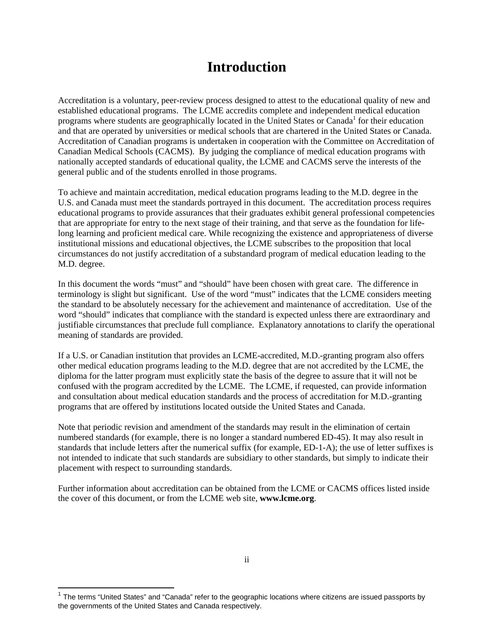## **Introduction**

Accreditation is a voluntary, peer-review process designed to attest to the educational quality of new and established educational programs. The LCME accredits complete and independent medical education programs where students are geographically located in the United States or Canada<sup>1</sup> for their education and that are operated by universities or medical schools that are chartered in the United States or Canada. Accreditation of Canadian programs is undertaken in cooperation with the Committee on Accreditation of Canadian Medical Schools (CACMS). By judging the compliance of medical education programs with nationally accepted standards of educational quality, the LCME and CACMS serve the interests of the general public and of the students enrolled in those programs.

To achieve and maintain accreditation, medical education programs leading to the M.D. degree in the U.S. and Canada must meet the standards portrayed in this document. The accreditation process requires educational programs to provide assurances that their graduates exhibit general professional competencies that are appropriate for entry to the next stage of their training, and that serve as the foundation for lifelong learning and proficient medical care. While recognizing the existence and appropriateness of diverse institutional missions and educational objectives, the LCME subscribes to the proposition that local circumstances do not justify accreditation of a substandard program of medical education leading to the M.D. degree.

In this document the words "must" and "should" have been chosen with great care. The difference in terminology is slight but significant. Use of the word "must" indicates that the LCME considers meeting the standard to be absolutely necessary for the achievement and maintenance of accreditation. Use of the word "should" indicates that compliance with the standard is expected unless there are extraordinary and justifiable circumstances that preclude full compliance. Explanatory annotations to clarify the operational meaning of standards are provided.

If a U.S. or Canadian institution that provides an LCME-accredited, M.D.-granting program also offers other medical education programs leading to the M.D. degree that are not accredited by the LCME, the diploma for the latter program must explicitly state the basis of the degree to assure that it will not be confused with the program accredited by the LCME. The LCME, if requested, can provide information and consultation about medical education standards and the process of accreditation for M.D.-granting programs that are offered by institutions located outside the United States and Canada.

Note that periodic revision and amendment of the standards may result in the elimination of certain numbered standards (for example, there is no longer a standard numbered ED-45). It may also result in standards that include letters after the numerical suffix (for example, ED-1-A); the use of letter suffixes is not intended to indicate that such standards are subsidiary to other standards, but simply to indicate their placement with respect to surrounding standards.

Further information about accreditation can be obtained from the LCME or CACMS offices listed inside the cover of this document, or from the LCME web site, **www.lcme.org**.

 $\overline{a}$ 

ii

 $1$  The terms "United States" and "Canada" refer to the geographic locations where citizens are issued passports by the governments of the United States and Canada respectively.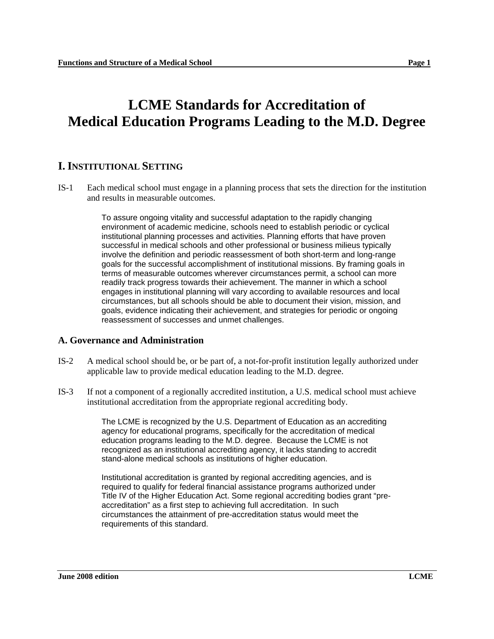## **LCME Standards for Accreditation of Medical Education Programs Leading to the M.D. Degree**

## **I. INSTITUTIONAL SETTING**

IS-1 Each medical school must engage in a planning process that sets the direction for the institution and results in measurable outcomes.

> To assure ongoing vitality and successful adaptation to the rapidly changing environment of academic medicine, schools need to establish periodic or cyclical institutional planning processes and activities. Planning efforts that have proven successful in medical schools and other professional or business milieus typically involve the definition and periodic reassessment of both short-term and long-range goals for the successful accomplishment of institutional missions. By framing goals in terms of measurable outcomes wherever circumstances permit, a school can more readily track progress towards their achievement. The manner in which a school engages in institutional planning will vary according to available resources and local circumstances, but all schools should be able to document their vision, mission, and goals, evidence indicating their achievement, and strategies for periodic or ongoing reassessment of successes and unmet challenges.

#### **A. Governance and Administration**

- IS-2 A medical school should be, or be part of, a not-for-profit institution legally authorized under applicable law to provide medical education leading to the M.D. degree.
- IS-3 If not a component of a regionally accredited institution, a U.S. medical school must achieve institutional accreditation from the appropriate regional accrediting body.

The LCME is recognized by the U.S. Department of Education as an accrediting agency for educational programs, specifically for the accreditation of medical education programs leading to the M.D. degree. Because the LCME is not recognized as an institutional accrediting agency, it lacks standing to accredit stand-alone medical schools as institutions of higher education.

Institutional accreditation is granted by regional accrediting agencies, and is required to qualify for federal financial assistance programs authorized under Title IV of the Higher Education Act. Some regional accrediting bodies grant "preaccreditation" as a first step to achieving full accreditation. In such circumstances the attainment of pre-accreditation status would meet the requirements of this standard.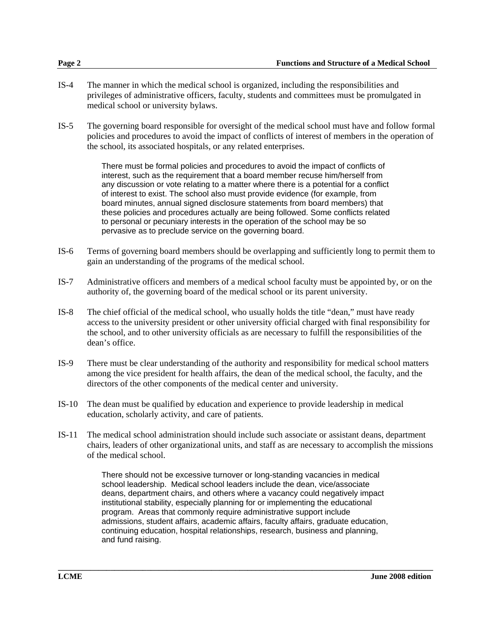- IS-4 The manner in which the medical school is organized, including the responsibilities and privileges of administrative officers, faculty, students and committees must be promulgated in medical school or university bylaws.
- IS-5 The governing board responsible for oversight of the medical school must have and follow formal policies and procedures to avoid the impact of conflicts of interest of members in the operation of the school, its associated hospitals, or any related enterprises.

There must be formal policies and procedures to avoid the impact of conflicts of interest, such as the requirement that a board member recuse him/herself from any discussion or vote relating to a matter where there is a potential for a conflict of interest to exist. The school also must provide evidence (for example, from board minutes, annual signed disclosure statements from board members) that these policies and procedures actually are being followed. Some conflicts related to personal or pecuniary interests in the operation of the school may be so pervasive as to preclude service on the governing board.

- IS-6 Terms of governing board members should be overlapping and sufficiently long to permit them to gain an understanding of the programs of the medical school.
- IS-7 Administrative officers and members of a medical school faculty must be appointed by, or on the authority of, the governing board of the medical school or its parent university.
- IS-8 The chief official of the medical school, who usually holds the title "dean," must have ready access to the university president or other university official charged with final responsibility for the school, and to other university officials as are necessary to fulfill the responsibilities of the dean's office.
- IS-9 There must be clear understanding of the authority and responsibility for medical school matters among the vice president for health affairs, the dean of the medical school, the faculty, and the directors of the other components of the medical center and university.
- IS-10 The dean must be qualified by education and experience to provide leadership in medical education, scholarly activity, and care of patients.
- IS-11 The medical school administration should include such associate or assistant deans, department chairs, leaders of other organizational units, and staff as are necessary to accomplish the missions of the medical school.

There should not be excessive turnover or long-standing vacancies in medical school leadership. Medical school leaders include the dean, vice/associate deans, department chairs, and others where a vacancy could negatively impact institutional stability, especially planning for or implementing the educational program. Areas that commonly require administrative support include admissions, student affairs, academic affairs, faculty affairs, graduate education, continuing education, hospital relationships, research, business and planning, and fund raising.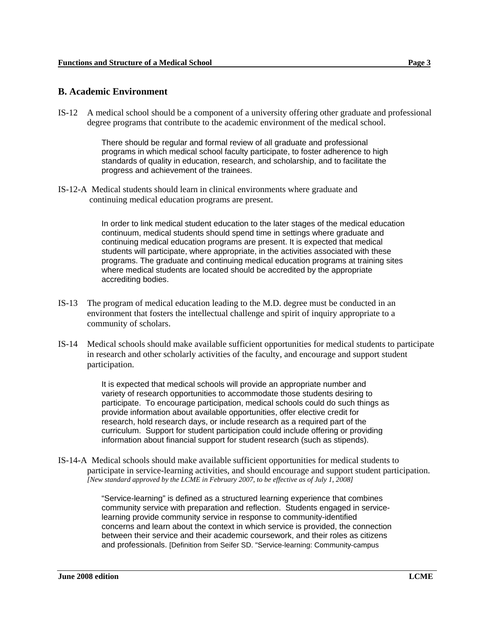#### **B. Academic Environment**

IS-12 A medical school should be a component of a university offering other graduate and professional degree programs that contribute to the academic environment of the medical school.

> There should be regular and formal review of all graduate and professional programs in which medical school faculty participate, to foster adherence to high standards of quality in education, research, and scholarship, and to facilitate the progress and achievement of the trainees.

IS-12-A Medical students should learn in clinical environments where graduate and continuing medical education programs are present.

> In order to link medical student education to the later stages of the medical education continuum, medical students should spend time in settings where graduate and continuing medical education programs are present. It is expected that medical students will participate, where appropriate, in the activities associated with these programs. The graduate and continuing medical education programs at training sites where medical students are located should be accredited by the appropriate accrediting bodies.

- IS-13 The program of medical education leading to the M.D. degree must be conducted in an environment that fosters the intellectual challenge and spirit of inquiry appropriate to a community of scholars.
- IS-14 Medical schools should make available sufficient opportunities for medical students to participate in research and other scholarly activities of the faculty, and encourage and support student participation.

It is expected that medical schools will provide an appropriate number and variety of research opportunities to accommodate those students desiring to participate. To encourage participation, medical schools could do such things as provide information about available opportunities, offer elective credit for research, hold research days, or include research as a required part of the curriculum. Support for student participation could include offering or providing information about financial support for student research (such as stipends).

IS-14-A Medical schools should make available sufficient opportunities for medical students to participate in service-learning activities, and should encourage and support student participation. *[New standard approved by the LCME in February 2007, to be effective as of July 1, 2008]* 

> "Service-learning" is defined as a structured learning experience that combines community service with preparation and reflection. Students engaged in servicelearning provide community service in response to community-identified concerns and learn about the context in which service is provided, the connection between their service and their academic coursework, and their roles as citizens and professionals. [Definition from Seifer SD. "Service-learning: Community-campus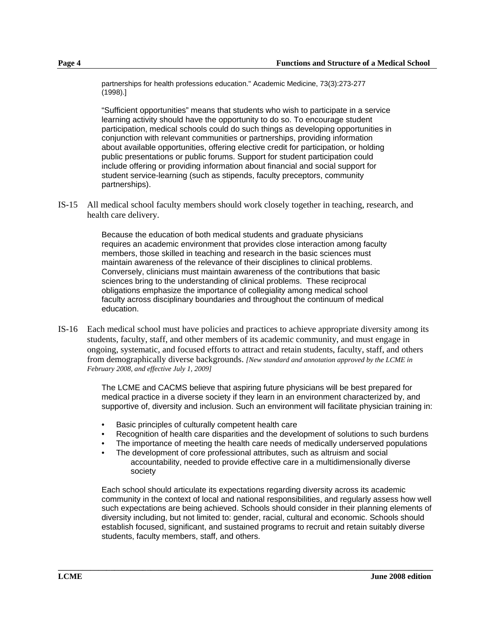partnerships for health professions education." Academic Medicine, 73(3):273-277 (1998).]

"Sufficient opportunities" means that students who wish to participate in a service learning activity should have the opportunity to do so. To encourage student participation, medical schools could do such things as developing opportunities in conjunction with relevant communities or partnerships, providing information about available opportunities, offering elective credit for participation, or holding public presentations or public forums. Support for student participation could include offering or providing information about financial and social support for student service-learning (such as stipends, faculty preceptors, community partnerships).

IS-15 All medical school faculty members should work closely together in teaching, research, and health care delivery.

> Because the education of both medical students and graduate physicians requires an academic environment that provides close interaction among faculty members, those skilled in teaching and research in the basic sciences must maintain awareness of the relevance of their disciplines to clinical problems. Conversely, clinicians must maintain awareness of the contributions that basic sciences bring to the understanding of clinical problems. These reciprocal obligations emphasize the importance of collegiality among medical school faculty across disciplinary boundaries and throughout the continuum of medical education.

IS-16 Each medical school must have policies and practices to achieve appropriate diversity among its students, faculty, staff, and other members of its academic community, and must engage in ongoing, systematic, and focused efforts to attract and retain students, faculty, staff, and others from demographically diverse backgrounds. *[New standard and annotation approved by the LCME in February 2008, and effective July 1, 2009]*

> The LCME and CACMS believe that aspiring future physicians will be best prepared for medical practice in a diverse society if they learn in an environment characterized by, and supportive of, diversity and inclusion. Such an environment will facilitate physician training in:

- Basic principles of culturally competent health care
- Recognition of health care disparities and the development of solutions to such burdens
- The importance of meeting the health care needs of medically underserved populations
- The development of core professional attributes, such as altruism and social accountability, needed to provide effective care in a multidimensionally diverse society

Each school should articulate its expectations regarding diversity across its academic community in the context of local and national responsibilities, and regularly assess how well such expectations are being achieved. Schools should consider in their planning elements of diversity including, but not limited to: gender, racial, cultural and economic. Schools should establish focused, significant, and sustained programs to recruit and retain suitably diverse students, faculty members, staff, and others.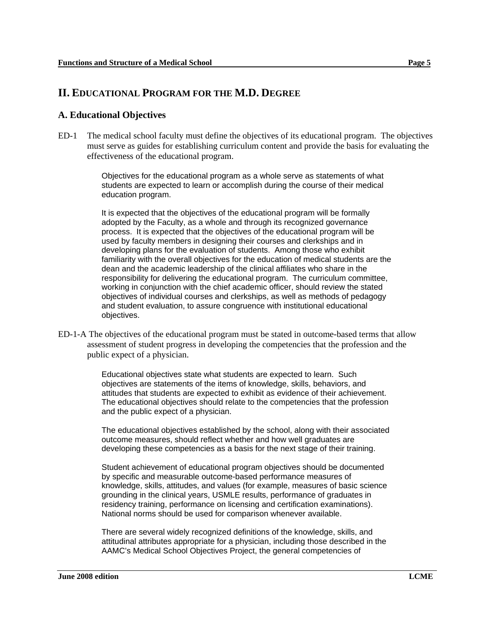### **II. EDUCATIONAL PROGRAM FOR THE M.D. DEGREE**

#### **A. Educational Objectives**

ED-1 The medical school faculty must define the objectives of its educational program. The objectives must serve as guides for establishing curriculum content and provide the basis for evaluating the effectiveness of the educational program.

> Objectives for the educational program as a whole serve as statements of what students are expected to learn or accomplish during the course of their medical education program.

It is expected that the objectives of the educational program will be formally adopted by the Faculty, as a whole and through its recognized governance process. It is expected that the objectives of the educational program will be used by faculty members in designing their courses and clerkships and in developing plans for the evaluation of students. Among those who exhibit familiarity with the overall objectives for the education of medical students are the dean and the academic leadership of the clinical affiliates who share in the responsibility for delivering the educational program. The curriculum committee, working in conjunction with the chief academic officer, should review the stated objectives of individual courses and clerkships, as well as methods of pedagogy and student evaluation, to assure congruence with institutional educational objectives.

ED-1-A The objectives of the educational program must be stated in outcome-based terms that allow assessment of student progress in developing the competencies that the profession and the public expect of a physician.

> Educational objectives state what students are expected to learn. Such objectives are statements of the items of knowledge, skills, behaviors, and attitudes that students are expected to exhibit as evidence of their achievement. The educational objectives should relate to the competencies that the profession and the public expect of a physician.

> The educational objectives established by the school, along with their associated outcome measures, should reflect whether and how well graduates are developing these competencies as a basis for the next stage of their training.

> Student achievement of educational program objectives should be documented by specific and measurable outcome-based performance measures of knowledge, skills, attitudes, and values (for example, measures of basic science grounding in the clinical years, USMLE results, performance of graduates in residency training, performance on licensing and certification examinations). National norms should be used for comparison whenever available.

> There are several widely recognized definitions of the knowledge, skills, and attitudinal attributes appropriate for a physician, including those described in the AAMC's Medical School Objectives Project, the general competencies of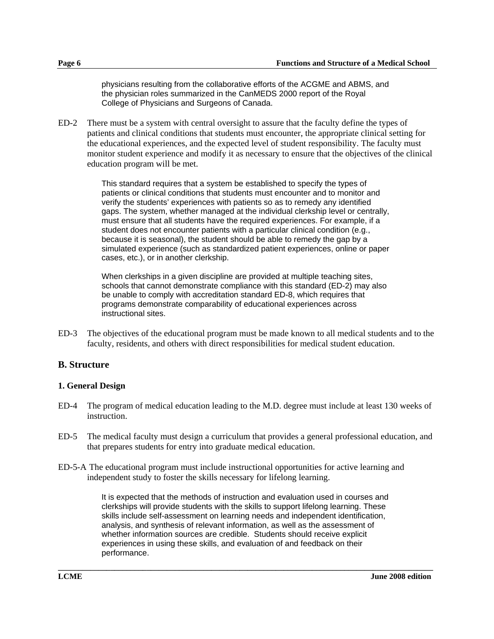physicians resulting from the collaborative efforts of the ACGME and ABMS, and the physician roles summarized in the CanMEDS 2000 report of the Royal College of Physicians and Surgeons of Canada.

ED-2 There must be a system with central oversight to assure that the faculty define the types of patients and clinical conditions that students must encounter, the appropriate clinical setting for the educational experiences, and the expected level of student responsibility. The faculty must monitor student experience and modify it as necessary to ensure that the objectives of the clinical education program will be met.

> This standard requires that a system be established to specify the types of patients or clinical conditions that students must encounter and to monitor and verify the students' experiences with patients so as to remedy any identified gaps. The system, whether managed at the individual clerkship level or centrally, must ensure that all students have the required experiences. For example, if a student does not encounter patients with a particular clinical condition (e.g., because it is seasonal), the student should be able to remedy the gap by a simulated experience (such as standardized patient experiences, online or paper cases, etc.), or in another clerkship.

When clerkships in a given discipline are provided at multiple teaching sites, schools that cannot demonstrate compliance with this standard (ED-2) may also be unable to comply with accreditation standard ED-8, which requires that programs demonstrate comparability of educational experiences across instructional sites.

ED-3 The objectives of the educational program must be made known to all medical students and to the faculty, residents, and others with direct responsibilities for medical student education.

#### **B. Structure**

#### **1. General Design**

- ED-4 The program of medical education leading to the M.D. degree must include at least 130 weeks of instruction.
- ED-5 The medical faculty must design a curriculum that provides a general professional education, and that prepares students for entry into graduate medical education.
- ED-5-A The educational program must include instructional opportunities for active learning and independent study to foster the skills necessary for lifelong learning.

It is expected that the methods of instruction and evaluation used in courses and clerkships will provide students with the skills to support lifelong learning. These skills include self-assessment on learning needs and independent identification, analysis, and synthesis of relevant information, as well as the assessment of whether information sources are credible. Students should receive explicit experiences in using these skills, and evaluation of and feedback on their performance.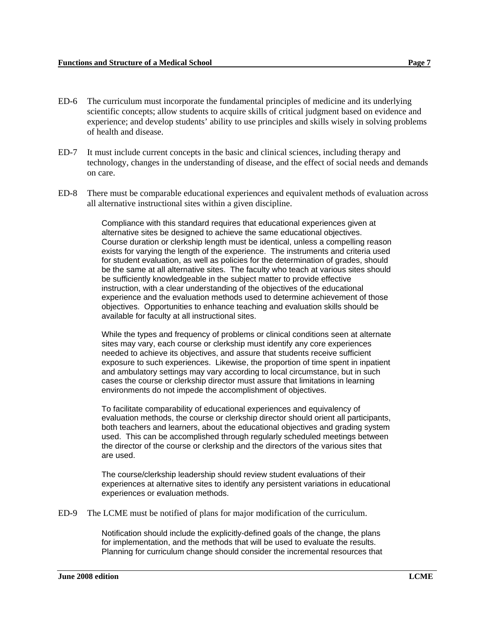- ED-6 The curriculum must incorporate the fundamental principles of medicine and its underlying scientific concepts; allow students to acquire skills of critical judgment based on evidence and experience; and develop students' ability to use principles and skills wisely in solving problems of health and disease.
- ED-7 It must include current concepts in the basic and clinical sciences, including therapy and technology, changes in the understanding of disease, and the effect of social needs and demands on care.
- ED-8 There must be comparable educational experiences and equivalent methods of evaluation across all alternative instructional sites within a given discipline.

Compliance with this standard requires that educational experiences given at alternative sites be designed to achieve the same educational objectives. Course duration or clerkship length must be identical, unless a compelling reason exists for varying the length of the experience. The instruments and criteria used for student evaluation, as well as policies for the determination of grades, should be the same at all alternative sites. The faculty who teach at various sites should be sufficiently knowledgeable in the subject matter to provide effective instruction, with a clear understanding of the objectives of the educational experience and the evaluation methods used to determine achievement of those objectives. Opportunities to enhance teaching and evaluation skills should be available for faculty at all instructional sites.

While the types and frequency of problems or clinical conditions seen at alternate sites may vary, each course or clerkship must identify any core experiences needed to achieve its objectives, and assure that students receive sufficient exposure to such experiences. Likewise, the proportion of time spent in inpatient and ambulatory settings may vary according to local circumstance, but in such cases the course or clerkship director must assure that limitations in learning environments do not impede the accomplishment of objectives.

To facilitate comparability of educational experiences and equivalency of evaluation methods, the course or clerkship director should orient all participants, both teachers and learners, about the educational objectives and grading system used. This can be accomplished through regularly scheduled meetings between the director of the course or clerkship and the directors of the various sites that are used.

The course/clerkship leadership should review student evaluations of their experiences at alternative sites to identify any persistent variations in educational experiences or evaluation methods.

ED-9 The LCME must be notified of plans for major modification of the curriculum.

Notification should include the explicitly-defined goals of the change, the plans for implementation, and the methods that will be used to evaluate the results. Planning for curriculum change should consider the incremental resources that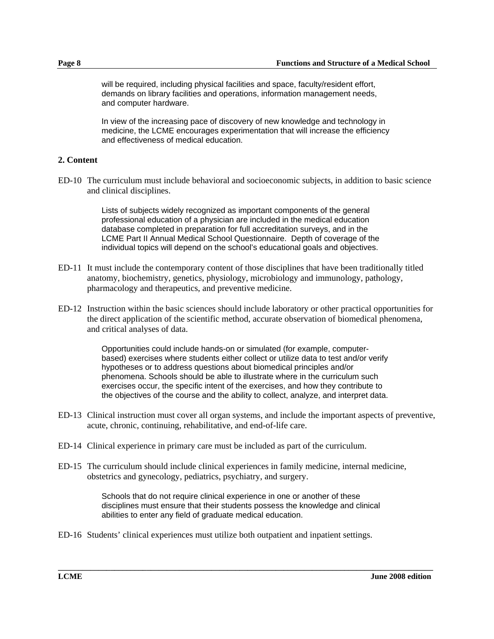will be required, including physical facilities and space, faculty/resident effort, demands on library facilities and operations, information management needs, and computer hardware.

In view of the increasing pace of discovery of new knowledge and technology in medicine, the LCME encourages experimentation that will increase the efficiency and effectiveness of medical education.

#### **2. Content**

ED-10 The curriculum must include behavioral and socioeconomic subjects, in addition to basic science and clinical disciplines.

> Lists of subjects widely recognized as important components of the general professional education of a physician are included in the medical education database completed in preparation for full accreditation surveys, and in the LCME Part II Annual Medical School Questionnaire. Depth of coverage of the individual topics will depend on the school's educational goals and objectives.

- ED-11 It must include the contemporary content of those disciplines that have been traditionally titled anatomy, biochemistry, genetics, physiology, microbiology and immunology, pathology, pharmacology and therapeutics, and preventive medicine.
- ED-12 Instruction within the basic sciences should include laboratory or other practical opportunities for the direct application of the scientific method, accurate observation of biomedical phenomena, and critical analyses of data.

Opportunities could include hands-on or simulated (for example, computerbased) exercises where students either collect or utilize data to test and/or verify hypotheses or to address questions about biomedical principles and/or phenomena. Schools should be able to illustrate where in the curriculum such exercises occur, the specific intent of the exercises, and how they contribute to the objectives of the course and the ability to collect, analyze, and interpret data.

- ED-13 Clinical instruction must cover all organ systems, and include the important aspects of preventive, acute, chronic, continuing, rehabilitative, and end-of-life care.
- ED-14 Clinical experience in primary care must be included as part of the curriculum.
- ED-15 The curriculum should include clinical experiences in family medicine, internal medicine, obstetrics and gynecology, pediatrics, psychiatry, and surgery.

Schools that do not require clinical experience in one or another of these disciplines must ensure that their students possess the knowledge and clinical abilities to enter any field of graduate medical education.

**\_\_\_\_\_\_\_\_\_\_\_\_\_\_\_\_\_\_\_\_\_\_\_\_\_\_\_\_\_\_\_\_\_\_\_\_\_\_\_\_\_\_\_\_\_\_\_\_\_\_\_\_\_\_\_\_\_\_\_\_\_\_\_\_\_\_\_\_\_\_\_\_\_\_\_\_\_\_\_\_\_\_\_\_\_\_\_\_\_\_\_\_\_** 

ED-16 Students' clinical experiences must utilize both outpatient and inpatient settings.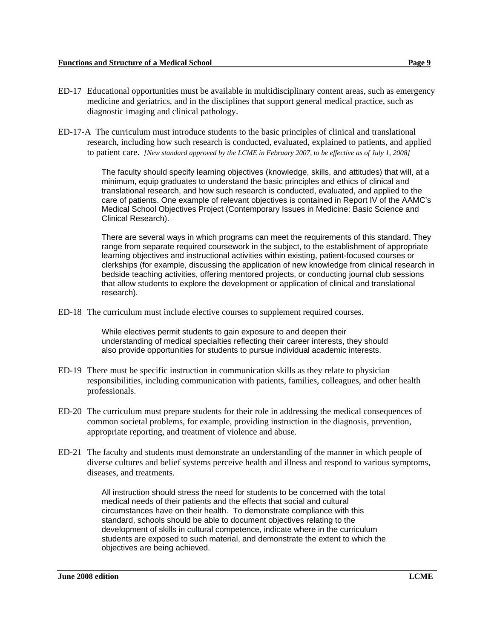- ED-17 Educational opportunities must be available in multidisciplinary content areas, such as emergency medicine and geriatrics, and in the disciplines that support general medical practice, such as diagnostic imaging and clinical pathology.
- ED-17-A The curriculum must introduce students to the basic principles of clinical and translational research, including how such research is conducted, evaluated, explained to patients, and applied to patient care. *[New standard approved by the LCME in February 2007, to be effective as of July 1, 2008]*

The faculty should specify learning objectives (knowledge, skills, and attitudes) that will, at a minimum, equip graduates to understand the basic principles and ethics of clinical and translational research, and how such research is conducted, evaluated, and applied to the care of patients. One example of relevant objectives is contained in Report IV of the AAMC's Medical School Objectives Project (Contemporary Issues in Medicine: Basic Science and Clinical Research).

There are several ways in which programs can meet the requirements of this standard. They range from separate required coursework in the subject, to the establishment of appropriate learning objectives and instructional activities within existing, patient-focused courses or clerkships (for example, discussing the application of new knowledge from clinical research in bedside teaching activities, offering mentored projects, or conducting journal club sessions that allow students to explore the development or application of clinical and translational research).

ED-18 The curriculum must include elective courses to supplement required courses.

While electives permit students to gain exposure to and deepen their understanding of medical specialties reflecting their career interests, they should also provide opportunities for students to pursue individual academic interests.

- ED-19 There must be specific instruction in communication skills as they relate to physician responsibilities, including communication with patients, families, colleagues, and other health professionals.
- ED-20 The curriculum must prepare students for their role in addressing the medical consequences of common societal problems, for example, providing instruction in the diagnosis, prevention, appropriate reporting, and treatment of violence and abuse.
- ED-21 The faculty and students must demonstrate an understanding of the manner in which people of diverse cultures and belief systems perceive health and illness and respond to various symptoms, diseases, and treatments.

All instruction should stress the need for students to be concerned with the total medical needs of their patients and the effects that social and cultural circumstances have on their health. To demonstrate compliance with this standard, schools should be able to document objectives relating to the development of skills in cultural competence, indicate where in the curriculum students are exposed to such material, and demonstrate the extent to which the objectives are being achieved.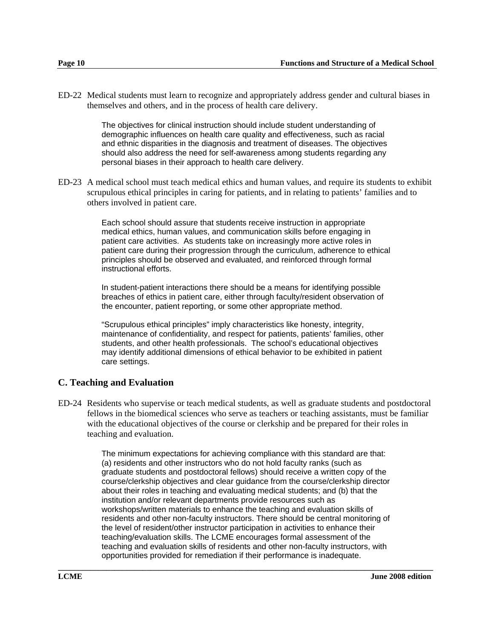ED-22 Medical students must learn to recognize and appropriately address gender and cultural biases in themselves and others, and in the process of health care delivery.

> The objectives for clinical instruction should include student understanding of demographic influences on health care quality and effectiveness, such as racial and ethnic disparities in the diagnosis and treatment of diseases. The objectives should also address the need for self-awareness among students regarding any personal biases in their approach to health care delivery.

ED-23 A medical school must teach medical ethics and human values, and require its students to exhibit scrupulous ethical principles in caring for patients, and in relating to patients' families and to others involved in patient care.

> Each school should assure that students receive instruction in appropriate medical ethics, human values, and communication skills before engaging in patient care activities. As students take on increasingly more active roles in patient care during their progression through the curriculum, adherence to ethical principles should be observed and evaluated, and reinforced through formal instructional efforts.

In student-patient interactions there should be a means for identifying possible breaches of ethics in patient care, either through faculty/resident observation of the encounter, patient reporting, or some other appropriate method.

"Scrupulous ethical principles" imply characteristics like honesty, integrity, maintenance of confidentiality, and respect for patients, patients' families, other students, and other health professionals. The school's educational objectives may identify additional dimensions of ethical behavior to be exhibited in patient care settings.

#### **C. Teaching and Evaluation**

ED-24 Residents who supervise or teach medical students, as well as graduate students and postdoctoral fellows in the biomedical sciences who serve as teachers or teaching assistants, must be familiar with the educational objectives of the course or clerkship and be prepared for their roles in teaching and evaluation.

> The minimum expectations for achieving compliance with this standard are that: (a) residents and other instructors who do not hold faculty ranks (such as graduate students and postdoctoral fellows) should receive a written copy of the course/clerkship objectives and clear guidance from the course/clerkship director about their roles in teaching and evaluating medical students; and (b) that the institution and/or relevant departments provide resources such as workshops/written materials to enhance the teaching and evaluation skills of residents and other non-faculty instructors. There should be central monitoring of the level of resident/other instructor participation in activities to enhance their teaching/evaluation skills. The LCME encourages formal assessment of the teaching and evaluation skills of residents and other non-faculty instructors, with opportunities provided for remediation if their performance is inadequate.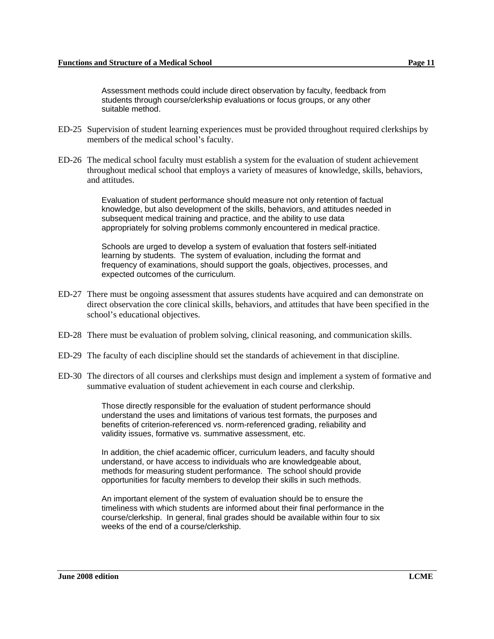Assessment methods could include direct observation by faculty, feedback from students through course/clerkship evaluations or focus groups, or any other suitable method.

- ED-25 Supervision of student learning experiences must be provided throughout required clerkships by members of the medical school's faculty.
- ED-26 The medical school faculty must establish a system for the evaluation of student achievement throughout medical school that employs a variety of measures of knowledge, skills, behaviors, and attitudes.

Evaluation of student performance should measure not only retention of factual knowledge, but also development of the skills, behaviors, and attitudes needed in subsequent medical training and practice, and the ability to use data appropriately for solving problems commonly encountered in medical practice.

Schools are urged to develop a system of evaluation that fosters self-initiated learning by students. The system of evaluation, including the format and frequency of examinations, should support the goals, objectives, processes, and expected outcomes of the curriculum.

- ED-27 There must be ongoing assessment that assures students have acquired and can demonstrate on direct observation the core clinical skills, behaviors, and attitudes that have been specified in the school's educational objectives.
- ED-28 There must be evaluation of problem solving, clinical reasoning, and communication skills.
- ED-29 The faculty of each discipline should set the standards of achievement in that discipline.
- ED-30 The directors of all courses and clerkships must design and implement a system of formative and summative evaluation of student achievement in each course and clerkship.

Those directly responsible for the evaluation of student performance should understand the uses and limitations of various test formats, the purposes and benefits of criterion-referenced vs. norm-referenced grading, reliability and validity issues, formative vs. summative assessment, etc.

In addition, the chief academic officer, curriculum leaders, and faculty should understand, or have access to individuals who are knowledgeable about, methods for measuring student performance. The school should provide opportunities for faculty members to develop their skills in such methods.

An important element of the system of evaluation should be to ensure the timeliness with which students are informed about their final performance in the course/clerkship. In general, final grades should be available within four to six weeks of the end of a course/clerkship.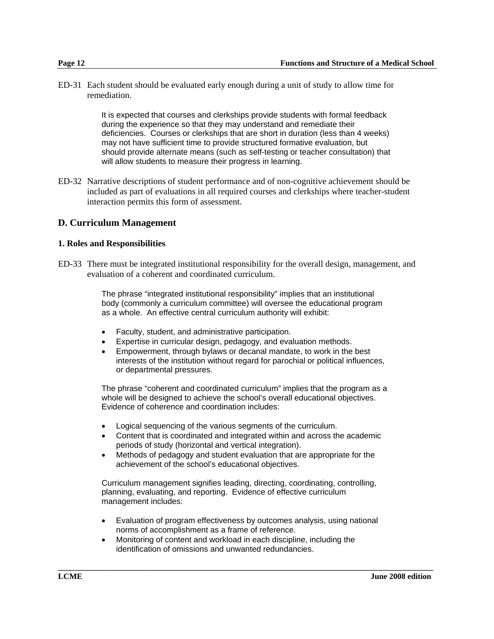ED-31 Each student should be evaluated early enough during a unit of study to allow time for remediation.

> It is expected that courses and clerkships provide students with formal feedback during the experience so that they may understand and remediate their deficiencies. Courses or clerkships that are short in duration (less than 4 weeks) may not have sufficient time to provide structured formative evaluation, but should provide alternate means (such as self-testing or teacher consultation) that will allow students to measure their progress in learning.

ED-32 Narrative descriptions of student performance and of non-cognitive achievement should be included as part of evaluations in all required courses and clerkships where teacher-student interaction permits this form of assessment.

#### **D. Curriculum Management**

#### **1. Roles and Responsibilities**

ED-33 There must be integrated institutional responsibility for the overall design, management, and evaluation of a coherent and coordinated curriculum.

> The phrase "integrated institutional responsibility" implies that an institutional body (commonly a curriculum committee) will oversee the educational program as a whole. An effective central curriculum authority will exhibit:

- Faculty, student, and administrative participation.
- Expertise in curricular design, pedagogy, and evaluation methods.
- Empowerment, through bylaws or decanal mandate, to work in the best interests of the institution without regard for parochial or political influences, or departmental pressures.

The phrase "coherent and coordinated curriculum" implies that the program as a whole will be designed to achieve the school's overall educational objectives. Evidence of coherence and coordination includes:

- Logical sequencing of the various segments of the curriculum.
- Content that is coordinated and integrated within and across the academic periods of study (horizontal and vertical integration).
- Methods of pedagogy and student evaluation that are appropriate for the achievement of the school's educational objectives.

Curriculum management signifies leading, directing, coordinating, controlling, planning, evaluating, and reporting. Evidence of effective curriculum management includes:

• Evaluation of program effectiveness by outcomes analysis, using national norms of accomplishment as a frame of reference.

**\_\_\_\_\_\_\_\_\_\_\_\_\_\_\_\_\_\_\_\_\_\_\_\_\_\_\_\_\_\_\_\_\_\_\_\_\_\_\_\_\_\_\_\_\_\_\_\_\_\_\_\_\_\_\_\_\_\_\_\_\_\_\_\_\_\_\_\_\_\_\_\_\_\_\_\_\_\_\_\_\_\_\_\_\_\_\_\_\_\_\_\_\_** 

• Monitoring of content and workload in each discipline, including the identification of omissions and unwanted redundancies.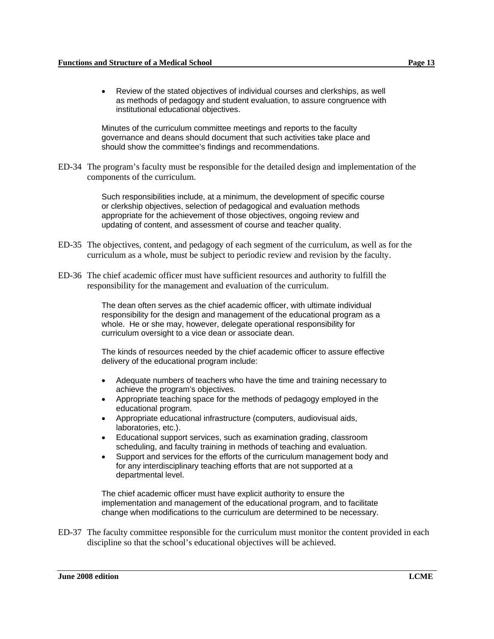• Review of the stated objectives of individual courses and clerkships, as well as methods of pedagogy and student evaluation, to assure congruence with institutional educational objectives.

Minutes of the curriculum committee meetings and reports to the faculty governance and deans should document that such activities take place and should show the committee's findings and recommendations.

ED-34 The program's faculty must be responsible for the detailed design and implementation of the components of the curriculum.

> Such responsibilities include, at a minimum, the development of specific course or clerkship objectives, selection of pedagogical and evaluation methods appropriate for the achievement of those objectives, ongoing review and updating of content, and assessment of course and teacher quality.

- ED-35 The objectives, content, and pedagogy of each segment of the curriculum, as well as for the curriculum as a whole, must be subject to periodic review and revision by the faculty.
- ED-36 The chief academic officer must have sufficient resources and authority to fulfill the responsibility for the management and evaluation of the curriculum.

The dean often serves as the chief academic officer, with ultimate individual responsibility for the design and management of the educational program as a whole. He or she may, however, delegate operational responsibility for curriculum oversight to a vice dean or associate dean.

The kinds of resources needed by the chief academic officer to assure effective delivery of the educational program include:

- Adequate numbers of teachers who have the time and training necessary to achieve the program's objectives.
- Appropriate teaching space for the methods of pedagogy employed in the educational program.
- Appropriate educational infrastructure (computers, audiovisual aids, laboratories, etc.).
- Educational support services, such as examination grading, classroom scheduling, and faculty training in methods of teaching and evaluation.
- Support and services for the efforts of the curriculum management body and for any interdisciplinary teaching efforts that are not supported at a departmental level.

The chief academic officer must have explicit authority to ensure the implementation and management of the educational program, and to facilitate change when modifications to the curriculum are determined to be necessary.

ED-37 The faculty committee responsible for the curriculum must monitor the content provided in each discipline so that the school's educational objectives will be achieved.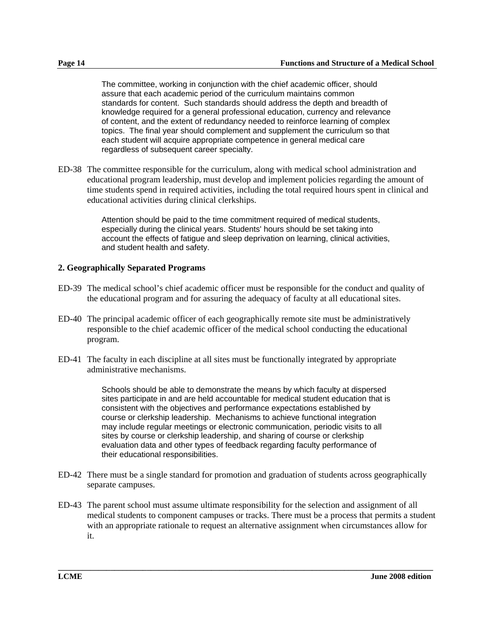The committee, working in conjunction with the chief academic officer, should assure that each academic period of the curriculum maintains common standards for content. Such standards should address the depth and breadth of knowledge required for a general professional education, currency and relevance of content, and the extent of redundancy needed to reinforce learning of complex topics. The final year should complement and supplement the curriculum so that each student will acquire appropriate competence in general medical care regardless of subsequent career specialty.

ED-38 The committee responsible for the curriculum, along with medical school administration and educational program leadership, must develop and implement policies regarding the amount of time students spend in required activities, including the total required hours spent in clinical and educational activities during clinical clerkships.

> Attention should be paid to the time commitment required of medical students, especially during the clinical years. Students' hours should be set taking into account the effects of fatigue and sleep deprivation on learning, clinical activities, and student health and safety.

#### **2. Geographically Separated Programs**

- ED-39 The medical school's chief academic officer must be responsible for the conduct and quality of the educational program and for assuring the adequacy of faculty at all educational sites.
- ED-40 The principal academic officer of each geographically remote site must be administratively responsible to the chief academic officer of the medical school conducting the educational program.
- ED-41 The faculty in each discipline at all sites must be functionally integrated by appropriate administrative mechanisms.

Schools should be able to demonstrate the means by which faculty at dispersed sites participate in and are held accountable for medical student education that is consistent with the objectives and performance expectations established by course or clerkship leadership. Mechanisms to achieve functional integration may include regular meetings or electronic communication, periodic visits to all sites by course or clerkship leadership, and sharing of course or clerkship evaluation data and other types of feedback regarding faculty performance of their educational responsibilities.

- ED-42 There must be a single standard for promotion and graduation of students across geographically separate campuses.
- ED-43 The parent school must assume ultimate responsibility for the selection and assignment of all medical students to component campuses or tracks. There must be a process that permits a student with an appropriate rationale to request an alternative assignment when circumstances allow for it.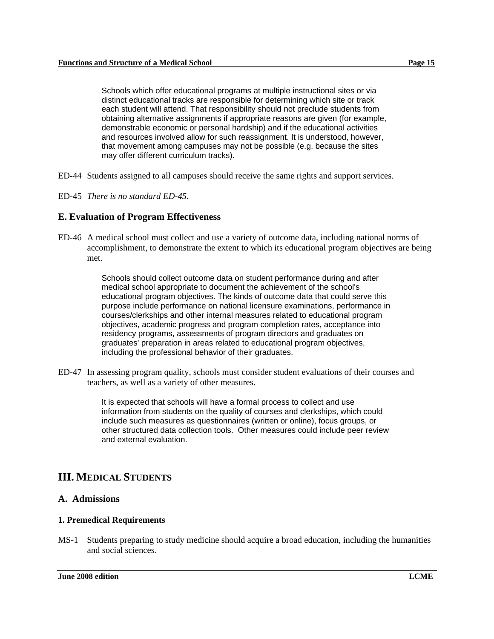Schools which offer educational programs at multiple instructional sites or via distinct educational tracks are responsible for determining which site or track each student will attend. That responsibility should not preclude students from obtaining alternative assignments if appropriate reasons are given (for example, demonstrable economic or personal hardship) and if the educational activities and resources involved allow for such reassignment. It is understood, however, that movement among campuses may not be possible (e.g. because the sites may offer different curriculum tracks).

- ED-44 Students assigned to all campuses should receive the same rights and support services.
- ED-45 *There is no standard ED-45.*

#### **E. Evaluation of Program Effectiveness**

ED-46 A medical school must collect and use a variety of outcome data, including national norms of accomplishment, to demonstrate the extent to which its educational program objectives are being met.

> Schools should collect outcome data on student performance during and after medical school appropriate to document the achievement of the school's educational program objectives. The kinds of outcome data that could serve this purpose include performance on national licensure examinations, performance in courses/clerkships and other internal measures related to educational program objectives, academic progress and program completion rates, acceptance into residency programs, assessments of program directors and graduates on graduates' preparation in areas related to educational program objectives, including the professional behavior of their graduates.

ED-47 In assessing program quality, schools must consider student evaluations of their courses and teachers, as well as a variety of other measures.

> It is expected that schools will have a formal process to collect and use information from students on the quality of courses and clerkships, which could include such measures as questionnaires (written or online), focus groups, or other structured data collection tools. Other measures could include peer review and external evaluation.

## **III. MEDICAL STUDENTS**

#### **A. Admissions**

#### **1. Premedical Requirements**

MS-1 Students preparing to study medicine should acquire a broad education, including the humanities and social sciences.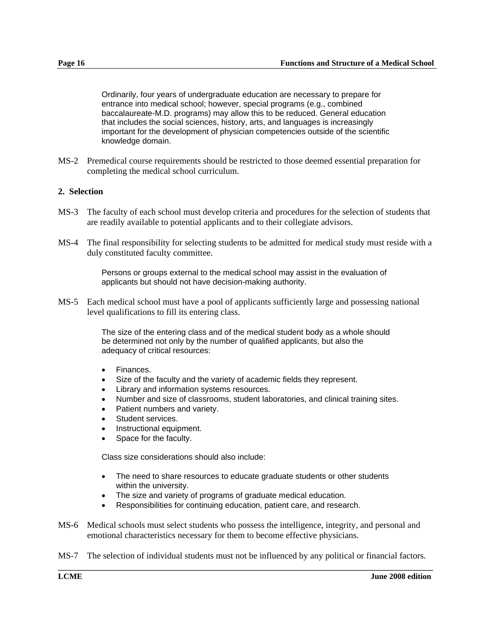Ordinarily, four years of undergraduate education are necessary to prepare for entrance into medical school; however, special programs (e.g., combined baccalaureate-M.D. programs) may allow this to be reduced. General education that includes the social sciences, history, arts, and languages is increasingly important for the development of physician competencies outside of the scientific knowledge domain.

MS-2 Premedical course requirements should be restricted to those deemed essential preparation for completing the medical school curriculum.

#### **2. Selection**

- MS-3 The faculty of each school must develop criteria and procedures for the selection of students that are readily available to potential applicants and to their collegiate advisors.
- MS-4 The final responsibility for selecting students to be admitted for medical study must reside with a duly constituted faculty committee.

Persons or groups external to the medical school may assist in the evaluation of applicants but should not have decision-making authority.

MS-5 Each medical school must have a pool of applicants sufficiently large and possessing national level qualifications to fill its entering class.

> The size of the entering class and of the medical student body as a whole should be determined not only by the number of qualified applicants, but also the adequacy of critical resources:

- Finances.
- Size of the faculty and the variety of academic fields they represent.
- Library and information systems resources.
- Number and size of classrooms, student laboratories, and clinical training sites.
- Patient numbers and variety.
- Student services.
- Instructional equipment.
- Space for the faculty.

Class size considerations should also include:

- The need to share resources to educate graduate students or other students within the university.
- The size and variety of programs of graduate medical education.
- Responsibilities for continuing education, patient care, and research.
- MS-6 Medical schools must select students who possess the intelligence, integrity, and personal and emotional characteristics necessary for them to become effective physicians.
- **\_\_\_\_\_\_\_\_\_\_\_\_\_\_\_\_\_\_\_\_\_\_\_\_\_\_\_\_\_\_\_\_\_\_\_\_\_\_\_\_\_\_\_\_\_\_\_\_\_\_\_\_\_\_\_\_\_\_\_\_\_\_\_\_\_\_\_\_\_\_\_\_\_\_\_\_\_\_\_\_\_\_\_\_\_\_\_\_\_\_\_\_\_**  MS-7 The selection of individual students must not be influenced by any political or financial factors.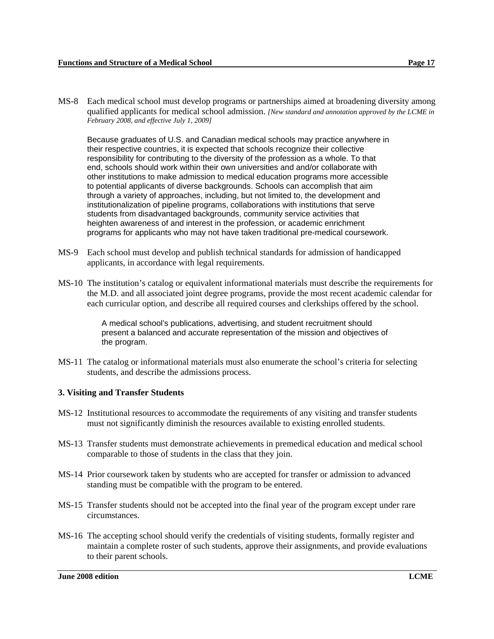MS-8 Each medical school must develop programs or partnerships aimed at broadening diversity among qualified applicants for medical school admission. *[New standard and annotation approved by the LCME in February 2008, and effective July 1, 2009]*

Because graduates of U.S. and Canadian medical schools may practice anywhere in their respective countries, it is expected that schools recognize their collective responsibility for contributing to the diversity of the profession as a whole. To that end, schools should work within their own universities and and/or collaborate with other institutions to make admission to medical education programs more accessible to potential applicants of diverse backgrounds. Schools can accomplish that aim through a variety of approaches, including, but not limited to, the development and institutionalization of pipeline programs, collaborations with institutions that serve students from disadvantaged backgrounds, community service activities that heighten awareness of and interest in the profession, or academic enrichment programs for applicants who may not have taken traditional pre-medical coursework.

- MS-9 Each school must develop and publish technical standards for admission of handicapped applicants, in accordance with legal requirements.
- MS-10 The institution's catalog or equivalent informational materials must describe the requirements for the M.D. and all associated joint degree programs, provide the most recent academic calendar for each curricular option, and describe all required courses and clerkships offered by the school.

A medical school's publications, advertising, and student recruitment should present a balanced and accurate representation of the mission and objectives of the program.

MS-11 The catalog or informational materials must also enumerate the school's criteria for selecting students, and describe the admissions process.

#### **3. Visiting and Transfer Students**

- MS-12 Institutional resources to accommodate the requirements of any visiting and transfer students must not significantly diminish the resources available to existing enrolled students.
- MS-13 Transfer students must demonstrate achievements in premedical education and medical school comparable to those of students in the class that they join.
- MS-14 Prior coursework taken by students who are accepted for transfer or admission to advanced standing must be compatible with the program to be entered.
- MS-15 Transfer students should not be accepted into the final year of the program except under rare circumstances.
- MS-16 The accepting school should verify the credentials of visiting students, formally register and maintain a complete roster of such students, approve their assignments, and provide evaluations to their parent schools.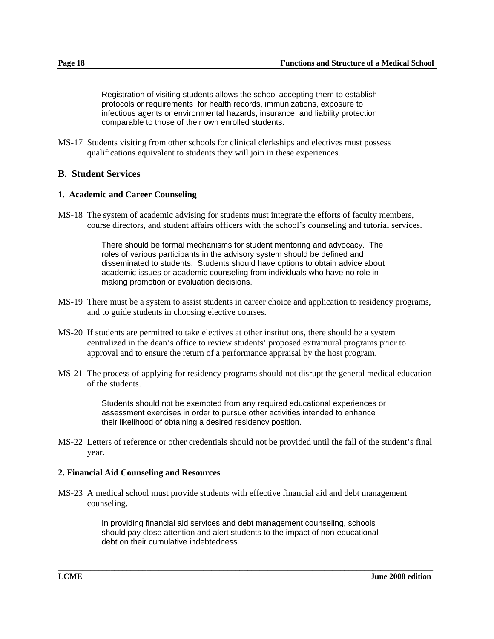Registration of visiting students allows the school accepting them to establish protocols or requirements for health records, immunizations, exposure to infectious agents or environmental hazards, insurance, and liability protection comparable to those of their own enrolled students.

MS-17 Students visiting from other schools for clinical clerkships and electives must possess qualifications equivalent to students they will join in these experiences.

#### **B. Student Services**

#### **1. Academic and Career Counseling**

MS-18 The system of academic advising for students must integrate the efforts of faculty members, course directors, and student affairs officers with the school's counseling and tutorial services.

> There should be formal mechanisms for student mentoring and advocacy. The roles of various participants in the advisory system should be defined and disseminated to students. Students should have options to obtain advice about academic issues or academic counseling from individuals who have no role in making promotion or evaluation decisions.

- MS-19 There must be a system to assist students in career choice and application to residency programs, and to guide students in choosing elective courses.
- MS-20 If students are permitted to take electives at other institutions, there should be a system centralized in the dean's office to review students' proposed extramural programs prior to approval and to ensure the return of a performance appraisal by the host program.
- MS-21 The process of applying for residency programs should not disrupt the general medical education of the students.

Students should not be exempted from any required educational experiences or assessment exercises in order to pursue other activities intended to enhance their likelihood of obtaining a desired residency position.

MS-22 Letters of reference or other credentials should not be provided until the fall of the student's final year.

#### **2. Financial Aid Counseling and Resources**

MS-23 A medical school must provide students with effective financial aid and debt management counseling.

> In providing financial aid services and debt management counseling, schools should pay close attention and alert students to the impact of non-educational debt on their cumulative indebtedness.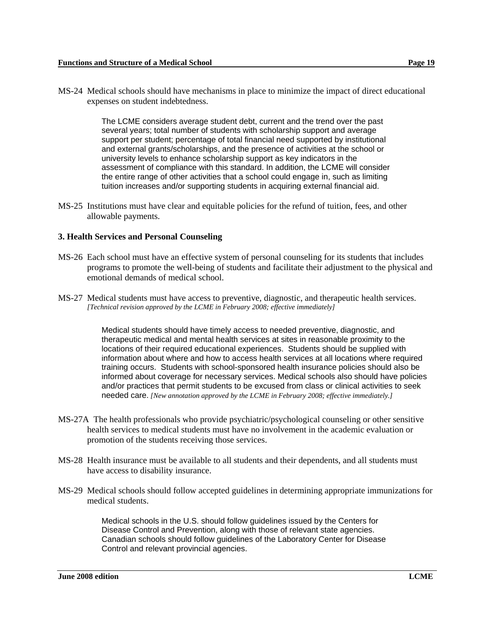MS-24 Medical schools should have mechanisms in place to minimize the impact of direct educational expenses on student indebtedness.

> The LCME considers average student debt, current and the trend over the past several years; total number of students with scholarship support and average support per student; percentage of total financial need supported by institutional and external grants/scholarships, and the presence of activities at the school or university levels to enhance scholarship support as key indicators in the assessment of compliance with this standard. In addition, the LCME will consider the entire range of other activities that a school could engage in, such as limiting tuition increases and/or supporting students in acquiring external financial aid.

MS-25 Institutions must have clear and equitable policies for the refund of tuition, fees, and other allowable payments.

#### **3. Health Services and Personal Counseling**

- MS-26 Each school must have an effective system of personal counseling for its students that includes programs to promote the well-being of students and facilitate their adjustment to the physical and emotional demands of medical school.
- MS-27 Medical students must have access to preventive, diagnostic, and therapeutic health services. *[Technical revision approved by the LCME in February 2008; effective immediately]*

Medical students should have timely access to needed preventive, diagnostic, and therapeutic medical and mental health services at sites in reasonable proximity to the locations of their required educational experiences. Students should be supplied with information about where and how to access health services at all locations where required training occurs. Students with school-sponsored health insurance policies should also be informed about coverage for necessary services. Medical schools also should have policies and/or practices that permit students to be excused from class or clinical activities to seek needed care. *[New annotation approved by the LCME in February 2008; effective immediately.]*

- MS-27A The health professionals who provide psychiatric/psychological counseling or other sensitive health services to medical students must have no involvement in the academic evaluation or promotion of the students receiving those services.
- MS-28 Health insurance must be available to all students and their dependents, and all students must have access to disability insurance.
- MS-29 Medical schools should follow accepted guidelines in determining appropriate immunizations for medical students.

Medical schools in the U.S. should follow guidelines issued by the Centers for Disease Control and Prevention, along with those of relevant state agencies. Canadian schools should follow guidelines of the Laboratory Center for Disease Control and relevant provincial agencies.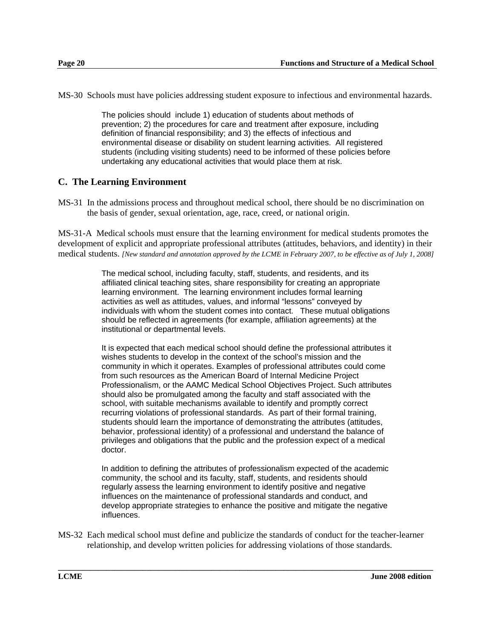MS-30 Schools must have policies addressing student exposure to infectious and environmental hazards.

The policies should include 1) education of students about methods of prevention; 2) the procedures for care and treatment after exposure, including definition of financial responsibility; and 3) the effects of infectious and environmental disease or disability on student learning activities. All registered students (including visiting students) need to be informed of these policies before undertaking any educational activities that would place them at risk.

### **C. The Learning Environment**

MS-31 In the admissions process and throughout medical school, there should be no discrimination on the basis of gender, sexual orientation, age, race, creed, or national origin.

MS-31-A Medical schools must ensure that the learning environment for medical students promotes the development of explicit and appropriate professional attributes (attitudes, behaviors, and identity) in their medical students. *[New standard and annotation approved by the LCME in February 2007, to be effective as of July 1, 2008]*

> The medical school, including faculty, staff, students, and residents, and its affiliated clinical teaching sites, share responsibility for creating an appropriate learning environment. The learning environment includes formal learning activities as well as attitudes, values, and informal "lessons" conveyed by individuals with whom the student comes into contact. These mutual obligations should be reflected in agreements (for example, affiliation agreements) at the institutional or departmental levels.

> It is expected that each medical school should define the professional attributes it wishes students to develop in the context of the school's mission and the community in which it operates. Examples of professional attributes could come from such resources as the American Board of Internal Medicine Project Professionalism, or the AAMC Medical School Objectives Project. Such attributes should also be promulgated among the faculty and staff associated with the school, with suitable mechanisms available to identify and promptly correct recurring violations of professional standards. As part of their formal training, students should learn the importance of demonstrating the attributes (attitudes, behavior, professional identity) of a professional and understand the balance of privileges and obligations that the public and the profession expect of a medical doctor.

> In addition to defining the attributes of professionalism expected of the academic community, the school and its faculty, staff, students, and residents should regularly assess the learning environment to identify positive and negative influences on the maintenance of professional standards and conduct, and develop appropriate strategies to enhance the positive and mitigate the negative influences.

MS-32 Each medical school must define and publicize the standards of conduct for the teacher-learner relationship, and develop written policies for addressing violations of those standards.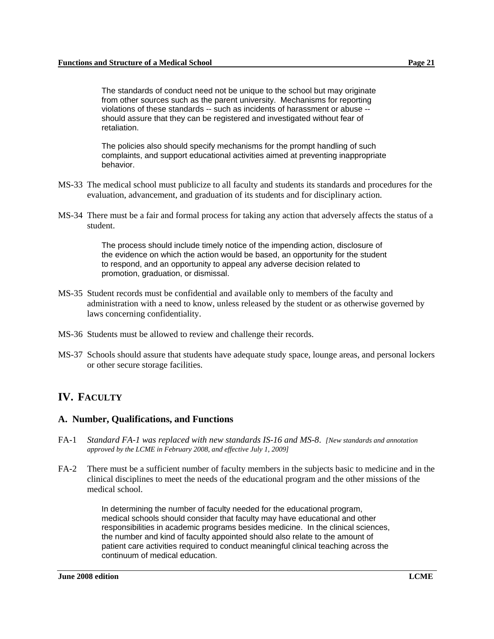The standards of conduct need not be unique to the school but may originate from other sources such as the parent university. Mechanisms for reporting violations of these standards -- such as incidents of harassment or abuse - should assure that they can be registered and investigated without fear of retaliation.

The policies also should specify mechanisms for the prompt handling of such complaints, and support educational activities aimed at preventing inappropriate behavior.

- MS-33 The medical school must publicize to all faculty and students its standards and procedures for the evaluation, advancement, and graduation of its students and for disciplinary action.
- MS-34 There must be a fair and formal process for taking any action that adversely affects the status of a student.

The process should include timely notice of the impending action, disclosure of the evidence on which the action would be based, an opportunity for the student to respond, and an opportunity to appeal any adverse decision related to promotion, graduation, or dismissal.

- MS-35 Student records must be confidential and available only to members of the faculty and administration with a need to know, unless released by the student or as otherwise governed by laws concerning confidentiality.
- MS-36 Students must be allowed to review and challenge their records.
- MS-37 Schools should assure that students have adequate study space, lounge areas, and personal lockers or other secure storage facilities.

## **IV. FACULTY**

#### **A. Number, Qualifications, and Functions**

- FA-1 *Standard FA-1 was replaced with new standards IS-16 and MS-8*. *[New standards and annotation approved by the LCME in February 2008, and effective July 1, 2009]*
- FA-2 There must be a sufficient number of faculty members in the subjects basic to medicine and in the clinical disciplines to meet the needs of the educational program and the other missions of the medical school.

In determining the number of faculty needed for the educational program, medical schools should consider that faculty may have educational and other responsibilities in academic programs besides medicine. In the clinical sciences, the number and kind of faculty appointed should also relate to the amount of patient care activities required to conduct meaningful clinical teaching across the continuum of medical education.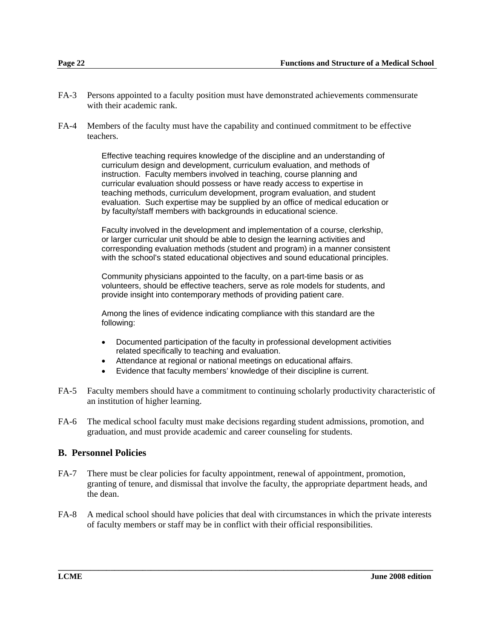- FA-3 Persons appointed to a faculty position must have demonstrated achievements commensurate with their academic rank.
- FA-4 Members of the faculty must have the capability and continued commitment to be effective teachers.

Effective teaching requires knowledge of the discipline and an understanding of curriculum design and development, curriculum evaluation, and methods of instruction. Faculty members involved in teaching, course planning and curricular evaluation should possess or have ready access to expertise in teaching methods, curriculum development, program evaluation, and student evaluation. Such expertise may be supplied by an office of medical education or by faculty/staff members with backgrounds in educational science.

Faculty involved in the development and implementation of a course, clerkship, or larger curricular unit should be able to design the learning activities and corresponding evaluation methods (student and program) in a manner consistent with the school's stated educational objectives and sound educational principles.

Community physicians appointed to the faculty, on a part-time basis or as volunteers, should be effective teachers, serve as role models for students, and provide insight into contemporary methods of providing patient care.

Among the lines of evidence indicating compliance with this standard are the following:

- Documented participation of the faculty in professional development activities related specifically to teaching and evaluation.
- Attendance at regional or national meetings on educational affairs.
- Evidence that faculty members' knowledge of their discipline is current.
- FA-5 Faculty members should have a commitment to continuing scholarly productivity characteristic of an institution of higher learning.
- FA-6 The medical school faculty must make decisions regarding student admissions, promotion, and graduation, and must provide academic and career counseling for students.

#### **B. Personnel Policies**

- FA-7 There must be clear policies for faculty appointment, renewal of appointment, promotion, granting of tenure, and dismissal that involve the faculty, the appropriate department heads, and the dean.
- FA-8 A medical school should have policies that deal with circumstances in which the private interests of faculty members or staff may be in conflict with their official responsibilities.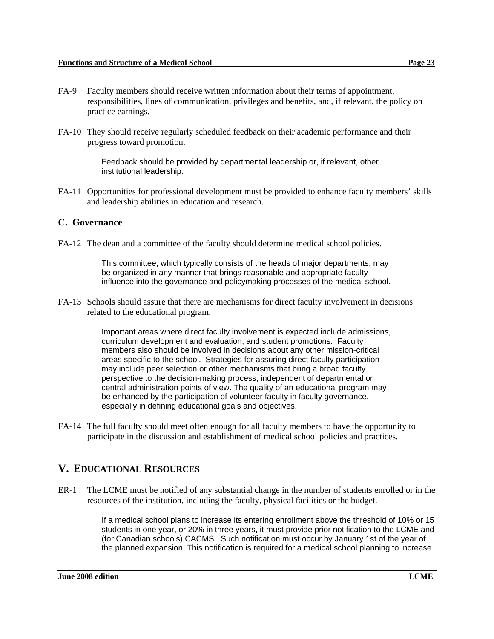- FA-9 Faculty members should receive written information about their terms of appointment, responsibilities, lines of communication, privileges and benefits, and, if relevant, the policy on practice earnings.
- FA-10 They should receive regularly scheduled feedback on their academic performance and their progress toward promotion.

Feedback should be provided by departmental leadership or, if relevant, other institutional leadership.

FA-11 Opportunities for professional development must be provided to enhance faculty members' skills and leadership abilities in education and research.

#### **C. Governance**

FA-12 The dean and a committee of the faculty should determine medical school policies.

This committee, which typically consists of the heads of major departments, may be organized in any manner that brings reasonable and appropriate faculty influence into the governance and policymaking processes of the medical school.

FA-13 Schools should assure that there are mechanisms for direct faculty involvement in decisions related to the educational program.

> Important areas where direct faculty involvement is expected include admissions, curriculum development and evaluation, and student promotions. Faculty members also should be involved in decisions about any other mission-critical areas specific to the school. Strategies for assuring direct faculty participation may include peer selection or other mechanisms that bring a broad faculty perspective to the decision-making process, independent of departmental or central administration points of view. The quality of an educational program may be enhanced by the participation of volunteer faculty in faculty governance, especially in defining educational goals and objectives.

FA-14 The full faculty should meet often enough for all faculty members to have the opportunity to participate in the discussion and establishment of medical school policies and practices.

## **V. EDUCATIONAL RESOURCES**

ER-1 The LCME must be notified of any substantial change in the number of students enrolled or in the resources of the institution, including the faculty, physical facilities or the budget.

> If a medical school plans to increase its entering enrollment above the threshold of 10% or 15 students in one year, or 20% in three years, it must provide prior notification to the LCME and (for Canadian schools) CACMS. Such notification must occur by January 1st of the year of the planned expansion. This notification is required for a medical school planning to increase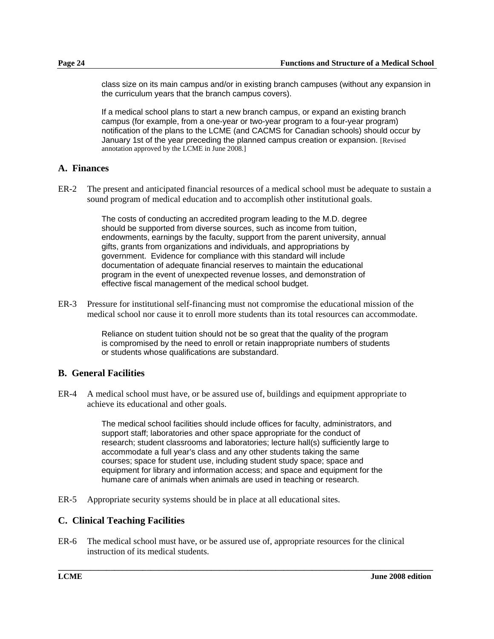class size on its main campus and/or in existing branch campuses (without any expansion in the curriculum years that the branch campus covers).

If a medical school plans to start a new branch campus, or expand an existing branch campus (for example, from a one-year or two-year program to a four-year program) notification of the plans to the LCME (and CACMS for Canadian schools) should occur by January 1st of the year preceding the planned campus creation or expansion. [Revised annotation approved by the LCME in June 2008.]

#### **A. Finances**

ER-2 The present and anticipated financial resources of a medical school must be adequate to sustain a sound program of medical education and to accomplish other institutional goals.

> The costs of conducting an accredited program leading to the M.D. degree should be supported from diverse sources, such as income from tuition, endowments, earnings by the faculty, support from the parent university, annual gifts, grants from organizations and individuals, and appropriations by government. Evidence for compliance with this standard will include documentation of adequate financial reserves to maintain the educational program in the event of unexpected revenue losses, and demonstration of effective fiscal management of the medical school budget.

ER-3 Pressure for institutional self-financing must not compromise the educational mission of the medical school nor cause it to enroll more students than its total resources can accommodate.

> Reliance on student tuition should not be so great that the quality of the program is compromised by the need to enroll or retain inappropriate numbers of students or students whose qualifications are substandard.

#### **B. General Facilities**

ER-4 A medical school must have, or be assured use of, buildings and equipment appropriate to achieve its educational and other goals.

> The medical school facilities should include offices for faculty, administrators, and support staff; laboratories and other space appropriate for the conduct of research; student classrooms and laboratories; lecture hall(s) sufficiently large to accommodate a full year's class and any other students taking the same courses; space for student use, including student study space; space and equipment for library and information access; and space and equipment for the humane care of animals when animals are used in teaching or research.

ER-5 Appropriate security systems should be in place at all educational sites.

#### **C. Clinical Teaching Facilities**

ER-6 The medical school must have, or be assured use of, appropriate resources for the clinical instruction of its medical students.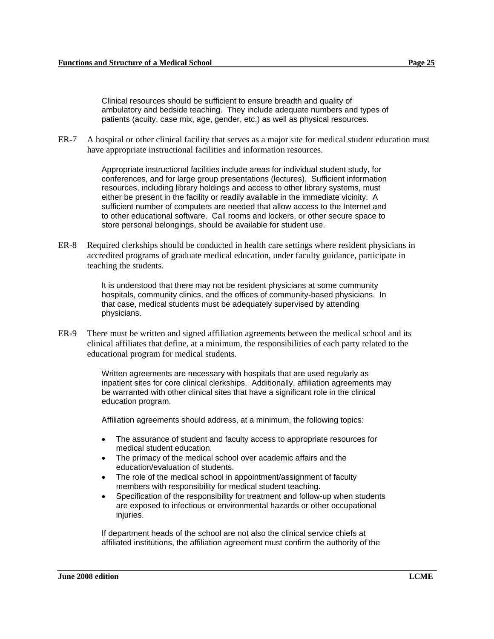Clinical resources should be sufficient to ensure breadth and quality of ambulatory and bedside teaching. They include adequate numbers and types of patients (acuity, case mix, age, gender, etc.) as well as physical resources.

ER-7 A hospital or other clinical facility that serves as a major site for medical student education must have appropriate instructional facilities and information resources.

> Appropriate instructional facilities include areas for individual student study, for conferences, and for large group presentations (lectures). Sufficient information resources, including library holdings and access to other library systems, must either be present in the facility or readily available in the immediate vicinity. A sufficient number of computers are needed that allow access to the Internet and to other educational software. Call rooms and lockers, or other secure space to store personal belongings, should be available for student use.

ER-8 Required clerkships should be conducted in health care settings where resident physicians in accredited programs of graduate medical education, under faculty guidance, participate in teaching the students.

> It is understood that there may not be resident physicians at some community hospitals, community clinics, and the offices of community-based physicians. In that case, medical students must be adequately supervised by attending physicians.

ER-9 There must be written and signed affiliation agreements between the medical school and its clinical affiliates that define, at a minimum, the responsibilities of each party related to the educational program for medical students.

> Written agreements are necessary with hospitals that are used regularly as inpatient sites for core clinical clerkships. Additionally, affiliation agreements may be warranted with other clinical sites that have a significant role in the clinical education program.

Affiliation agreements should address, at a minimum, the following topics:

- The assurance of student and faculty access to appropriate resources for medical student education.
- The primacy of the medical school over academic affairs and the education/evaluation of students.
- The role of the medical school in appointment/assignment of faculty members with responsibility for medical student teaching.
- Specification of the responsibility for treatment and follow-up when students are exposed to infectious or environmental hazards or other occupational injuries.

If department heads of the school are not also the clinical service chiefs at affiliated institutions, the affiliation agreement must confirm the authority of the